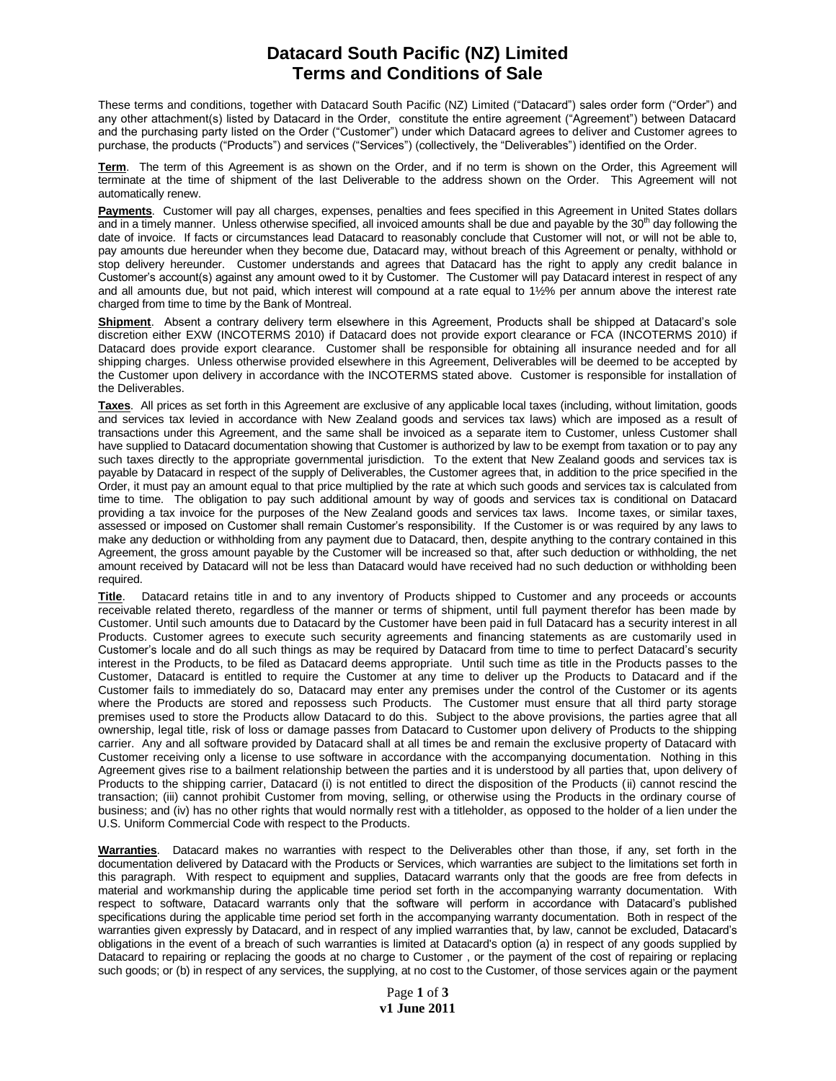## **Datacard South Pacific (NZ) Limited Terms and Conditions of Sale**

These terms and conditions, together with Datacard South Pacific (NZ) Limited ("Datacard") sales order form ("Order") and any other attachment(s) listed by Datacard in the Order, constitute the entire agreement ("Agreement") between Datacard and the purchasing party listed on the Order ("Customer") under which Datacard agrees to deliver and Customer agrees to purchase, the products ("Products") and services ("Services") (collectively, the "Deliverables") identified on the Order.

**Term**. The term of this Agreement is as shown on the Order, and if no term is shown on the Order, this Agreement will terminate at the time of shipment of the last Deliverable to the address shown on the Order. This Agreement will not automatically renew.

**Payments**. Customer will pay all charges, expenses, penalties and fees specified in this Agreement in United States dollars and in a timely manner. Unless otherwise specified, all invoiced amounts shall be due and payable by the 30<sup>th</sup> day following the date of invoice. If facts or circumstances lead Datacard to reasonably conclude that Customer will not, or will not be able to, pay amounts due hereunder when they become due, Datacard may, without breach of this Agreement or penalty, withhold or stop delivery hereunder. Customer understands and agrees that Datacard has the right to apply any credit balance in Customer's account(s) against any amount owed to it by Customer. The Customer will pay Datacard interest in respect of any and all amounts due, but not paid, which interest will compound at a rate equal to 1½% per annum above the interest rate charged from time to time by the Bank of Montreal.

**Shipment**. Absent a contrary delivery term elsewhere in this Agreement, Products shall be shipped at Datacard's sole discretion either EXW (INCOTERMS 2010) if Datacard does not provide export clearance or FCA (INCOTERMS 2010) if Datacard does provide export clearance. Customer shall be responsible for obtaining all insurance needed and for all shipping charges. Unless otherwise provided elsewhere in this Agreement, Deliverables will be deemed to be accepted by the Customer upon delivery in accordance with the INCOTERMS stated above. Customer is responsible for installation of the Deliverables.

**Taxes**. All prices as set forth in this Agreement are exclusive of any applicable local taxes (including, without limitation, goods and services tax levied in accordance with New Zealand goods and services tax laws) which are imposed as a result of transactions under this Agreement, and the same shall be invoiced as a separate item to Customer, unless Customer shall have supplied to Datacard documentation showing that Customer is authorized by law to be exempt from taxation or to pay any such taxes directly to the appropriate governmental jurisdiction. To the extent that New Zealand goods and services tax is payable by Datacard in respect of the supply of Deliverables, the Customer agrees that, in addition to the price specified in the Order, it must pay an amount equal to that price multiplied by the rate at which such goods and services tax is calculated from time to time. The obligation to pay such additional amount by way of goods and services tax is conditional on Datacard providing a tax invoice for the purposes of the New Zealand goods and services tax laws. Income taxes, or similar taxes, assessed or imposed on Customer shall remain Customer's responsibility. If the Customer is or was required by any laws to make any deduction or withholding from any payment due to Datacard, then, despite anything to the contrary contained in this Agreement, the gross amount payable by the Customer will be increased so that, after such deduction or withholding, the net amount received by Datacard will not be less than Datacard would have received had no such deduction or withholding been required.

**Title**. Datacard retains title in and to any inventory of Products shipped to Customer and any proceeds or accounts receivable related thereto, regardless of the manner or terms of shipment, until full payment therefor has been made by Customer. Until such amounts due to Datacard by the Customer have been paid in full Datacard has a security interest in all Products. Customer agrees to execute such security agreements and financing statements as are customarily used in Customer's locale and do all such things as may be required by Datacard from time to time to perfect Datacard's security interest in the Products, to be filed as Datacard deems appropriate. Until such time as title in the Products passes to the Customer, Datacard is entitled to require the Customer at any time to deliver up the Products to Datacard and if the Customer fails to immediately do so, Datacard may enter any premises under the control of the Customer or its agents where the Products are stored and repossess such Products. The Customer must ensure that all third party storage premises used to store the Products allow Datacard to do this. Subject to the above provisions, the parties agree that all ownership, legal title, risk of loss or damage passes from Datacard to Customer upon delivery of Products to the shipping carrier. Any and all software provided by Datacard shall at all times be and remain the exclusive property of Datacard with Customer receiving only a license to use software in accordance with the accompanying documentation. Nothing in this Agreement gives rise to a bailment relationship between the parties and it is understood by all parties that, upon delivery of Products to the shipping carrier, Datacard (i) is not entitled to direct the disposition of the Products (ii) cannot rescind the transaction; (iii) cannot prohibit Customer from moving, selling, or otherwise using the Products in the ordinary course of business; and (iv) has no other rights that would normally rest with a titleholder, as opposed to the holder of a lien under the U.S. Uniform Commercial Code with respect to the Products.

**Warranties**. Datacard makes no warranties with respect to the Deliverables other than those, if any, set forth in the documentation delivered by Datacard with the Products or Services, which warranties are subject to the limitations set forth in this paragraph. With respect to equipment and supplies, Datacard warrants only that the goods are free from defects in material and workmanship during the applicable time period set forth in the accompanying warranty documentation. With respect to software, Datacard warrants only that the software will perform in accordance with Datacard's published specifications during the applicable time period set forth in the accompanying warranty documentation. Both in respect of the warranties given expressly by Datacard, and in respect of any implied warranties that, by law, cannot be excluded, Datacard's obligations in the event of a breach of such warranties is limited at Datacard's option (a) in respect of any goods supplied by Datacard to repairing or replacing the goods at no charge to Customer , or the payment of the cost of repairing or replacing such goods; or (b) in respect of any services, the supplying, at no cost to the Customer, of those services again or the payment

> Page **1** of **3 v1 June 2011**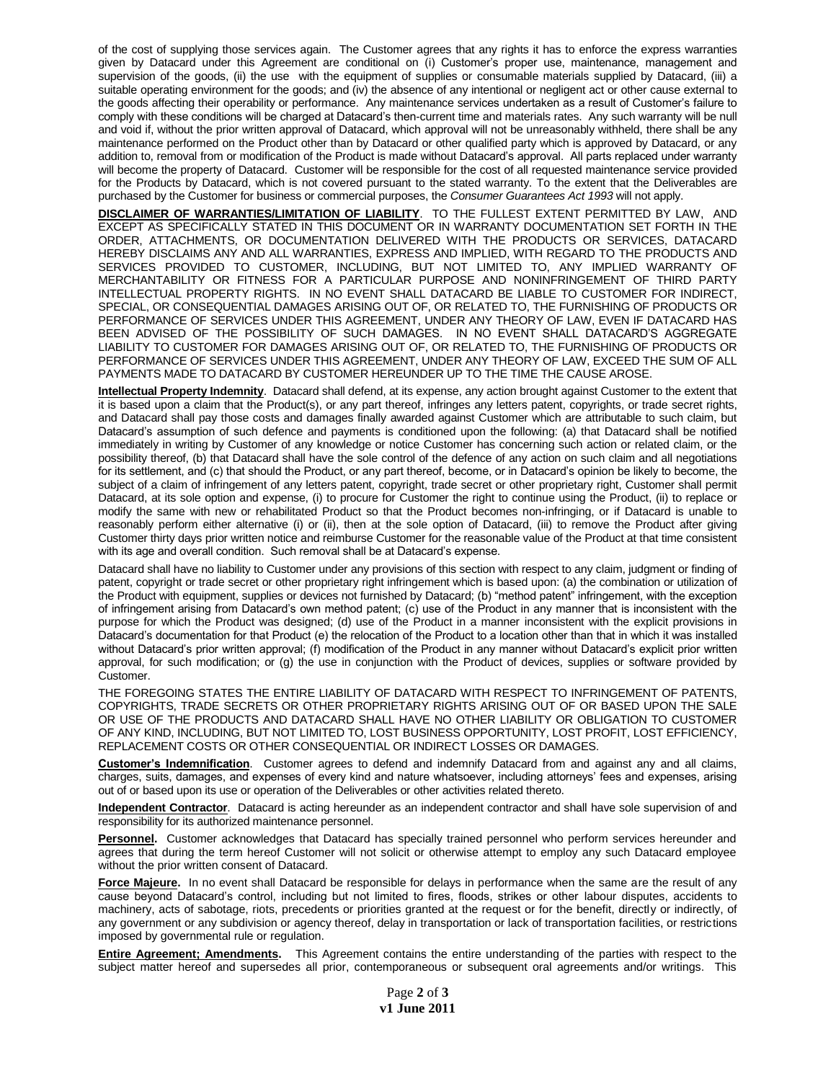of the cost of supplying those services again. The Customer agrees that any rights it has to enforce the express warranties given by Datacard under this Agreement are conditional on (i) Customer's proper use, maintenance, management and supervision of the goods, (ii) the use with the equipment of supplies or consumable materials supplied by Datacard, (iii) a suitable operating environment for the goods; and (iv) the absence of any intentional or negligent act or other cause external to the goods affecting their operability or performance. Any maintenance services undertaken as a result of Customer's failure to comply with these conditions will be charged at Datacard's then-current time and materials rates. Any such warranty will be null and void if, without the prior written approval of Datacard, which approval will not be unreasonably withheld, there shall be any maintenance performed on the Product other than by Datacard or other qualified party which is approved by Datacard, or any addition to, removal from or modification of the Product is made without Datacard's approval. All parts replaced under warranty will become the property of Datacard. Customer will be responsible for the cost of all requested maintenance service provided for the Products by Datacard, which is not covered pursuant to the stated warranty. To the extent that the Deliverables are purchased by the Customer for business or commercial purposes, the *Consumer Guarantees Act 1993* will not apply.

**DISCLAIMER OF WARRANTIES/LIMITATION OF LIABILITY**. TO THE FULLEST EXTENT PERMITTED BY LAW, AND EXCEPT AS SPECIFICALLY STATED IN THIS DOCUMENT OR IN WARRANTY DOCUMENTATION SET FORTH IN THE ORDER, ATTACHMENTS, OR DOCUMENTATION DELIVERED WITH THE PRODUCTS OR SERVICES, DATACARD HEREBY DISCLAIMS ANY AND ALL WARRANTIES, EXPRESS AND IMPLIED, WITH REGARD TO THE PRODUCTS AND SERVICES PROVIDED TO CUSTOMER, INCLUDING, BUT NOT LIMITED TO, ANY IMPLIED WARRANTY OF MERCHANTABILITY OR FITNESS FOR A PARTICULAR PURPOSE AND NONINFRINGEMENT OF THIRD PARTY INTELLECTUAL PROPERTY RIGHTS. IN NO EVENT SHALL DATACARD BE LIABLE TO CUSTOMER FOR INDIRECT, SPECIAL, OR CONSEQUENTIAL DAMAGES ARISING OUT OF, OR RELATED TO, THE FURNISHING OF PRODUCTS OR PERFORMANCE OF SERVICES UNDER THIS AGREEMENT, UNDER ANY THEORY OF LAW, EVEN IF DATACARD HAS BEEN ADVISED OF THE POSSIBILITY OF SUCH DAMAGES. IN NO EVENT SHALL DATACARD'S AGGREGATE LIABILITY TO CUSTOMER FOR DAMAGES ARISING OUT OF, OR RELATED TO, THE FURNISHING OF PRODUCTS OR PERFORMANCE OF SERVICES UNDER THIS AGREEMENT, UNDER ANY THEORY OF LAW, EXCEED THE SUM OF ALL PAYMENTS MADE TO DATACARD BY CUSTOMER HEREUNDER UP TO THE TIME THE CAUSE AROSE.

**Intellectual Property Indemnity**. Datacard shall defend, at its expense, any action brought against Customer to the extent that it is based upon a claim that the Product(s), or any part thereof, infringes any letters patent, copyrights, or trade secret rights, and Datacard shall pay those costs and damages finally awarded against Customer which are attributable to such claim, but Datacard's assumption of such defence and payments is conditioned upon the following: (a) that Datacard shall be notified immediately in writing by Customer of any knowledge or notice Customer has concerning such action or related claim, or the possibility thereof, (b) that Datacard shall have the sole control of the defence of any action on such claim and all negotiations for its settlement, and (c) that should the Product, or any part thereof, become, or in Datacard's opinion be likely to become, the subject of a claim of infringement of any letters patent, copyright, trade secret or other proprietary right, Customer shall permit Datacard, at its sole option and expense, (i) to procure for Customer the right to continue using the Product, (ii) to replace or modify the same with new or rehabilitated Product so that the Product becomes non-infringing, or if Datacard is unable to reasonably perform either alternative (i) or (ii), then at the sole option of Datacard, (iii) to remove the Product after giving Customer thirty days prior written notice and reimburse Customer for the reasonable value of the Product at that time consistent with its age and overall condition. Such removal shall be at Datacard's expense.

Datacard shall have no liability to Customer under any provisions of this section with respect to any claim, judgment or finding of patent, copyright or trade secret or other proprietary right infringement which is based upon: (a) the combination or utilization of the Product with equipment, supplies or devices not furnished by Datacard; (b) "method patent" infringement, with the exception of infringement arising from Datacard's own method patent; (c) use of the Product in any manner that is inconsistent with the purpose for which the Product was designed; (d) use of the Product in a manner inconsistent with the explicit provisions in Datacard's documentation for that Product (e) the relocation of the Product to a location other than that in which it was installed without Datacard's prior written approval; (f) modification of the Product in any manner without Datacard's explicit prior written approval, for such modification; or (g) the use in conjunction with the Product of devices, supplies or software provided by Customer.

THE FOREGOING STATES THE ENTIRE LIABILITY OF DATACARD WITH RESPECT TO INFRINGEMENT OF PATENTS, COPYRIGHTS, TRADE SECRETS OR OTHER PROPRIETARY RIGHTS ARISING OUT OF OR BASED UPON THE SALE OR USE OF THE PRODUCTS AND DATACARD SHALL HAVE NO OTHER LIABILITY OR OBLIGATION TO CUSTOMER OF ANY KIND, INCLUDING, BUT NOT LIMITED TO, LOST BUSINESS OPPORTUNITY, LOST PROFIT, LOST EFFICIENCY, REPLACEMENT COSTS OR OTHER CONSEQUENTIAL OR INDIRECT LOSSES OR DAMAGES.

**Customer's Indemnification**. Customer agrees to defend and indemnify Datacard from and against any and all claims, charges, suits, damages, and expenses of every kind and nature whatsoever, including attorneys' fees and expenses, arising out of or based upon its use or operation of the Deliverables or other activities related thereto.

**Independent Contractor**. Datacard is acting hereunder as an independent contractor and shall have sole supervision of and responsibility for its authorized maintenance personnel.

**Personnel.** Customer acknowledges that Datacard has specially trained personnel who perform services hereunder and agrees that during the term hereof Customer will not solicit or otherwise attempt to employ any such Datacard employee without the prior written consent of Datacard.

**Force Majeure.** In no event shall Datacard be responsible for delays in performance when the same are the result of any cause beyond Datacard's control, including but not limited to fires, floods, strikes or other labour disputes, accidents to machinery, acts of sabotage, riots, precedents or priorities granted at the request or for the benefit, directly or indirectly, of any government or any subdivision or agency thereof, delay in transportation or lack of transportation facilities, or restrictions imposed by governmental rule or regulation.

**Entire Agreement; Amendments.** This Agreement contains the entire understanding of the parties with respect to the subject matter hereof and supersedes all prior, contemporaneous or subsequent oral agreements and/or writings. This

> Page **2** of **3 v1 June 2011**